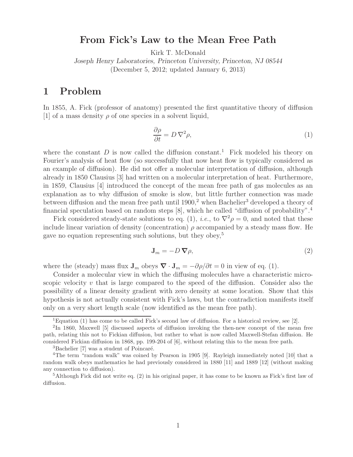## **From Fick's Law to the Mean Free Path**

Kirk T. McDonald

*Joseph Henry Laboratories, Princeton University, Princeton, NJ 08544* (December 5, 2012; updated January 6, 2013)

## **1 Problem**

In 1855, A. Fick (professor of anatomy) presented the first quantitative theory of diffusion [1] of a mass density  $\rho$  of one species in a solvent liquid,

$$
\frac{\partial \rho}{\partial t} = D \nabla^2 \rho,\tag{1}
$$

where the constant  $D$  is now called the diffusion constant.<sup>1</sup> Fick modeled his theory on Fourier's analysis of heat flow (so successfully that now heat flow is typically considered as an example of diffusion). He did not offer a molecular interpretation of diffusion, although already in 1850 Clausius [3] had written on a molecular interpretation of heat. Furthermore, in 1859, Clausius [4] introduced the concept of the mean free path of gas molecules as an explanation as to why diffusion of smoke is slow, but little further connection was made between diffusion and the mean free path until  $1900<sup>2</sup>$  when Bachelier<sup>3</sup> developed a theory of financial speculation based on random steps [8], which he called "diffusion of probability".<sup>4</sup>

Fick considered steady-state solutions to eq. (1), *i.e.*, to  $\nabla^2 \rho = 0$ , and noted that these include linear variation of density (concentration)  $\rho$  accompanied by a steady mass flow. He gave no equation representing such solutions, but they obey,<sup>5</sup>

$$
\mathbf{J}_m = -D\,\boldsymbol{\nabla}\rho,\tag{2}
$$

where the (steady) mass flux  $J_m$  obeys  $\nabla \cdot J_m = -\partial \rho / \partial t = 0$  in view of eq. (1).

Consider a molecular view in which the diffusing molecules have a characteristic microscopic velocity v that is large compared to the speed of the diffusion. Consider also the possibility of a linear density gradient with zero density at some location. Show that this hypothesis is not actually consistent with Fick's laws, but the contradiction manifests itself only on a very short length scale (now identified as the mean free path).

 $\overline{^{1}$ Equation (1) has come to be called Fick's second law of diffusion. For a historical review, see [2].

<sup>2</sup>In 1860, Maxwell [5] discussed aspects of diffusion invoking the then-new concept of the mean free path, relating this not to Fickian diffusion, but rather to what is now called Maxwell-Stefan diffusion. He considered Fickian diffusion in 1868, pp. 199-204 of [6], without relating this to the mean free path.

 ${}^{3}$ Bachelier [7] was a student of Poincaré.

<sup>&</sup>lt;sup>4</sup>The term "random walk" was coined by Pearson in 1905 [9]. Rayleigh immediately noted [10] that a random walk obeys mathematics he had previously considered in 1880 [11] and 1889 [12] (without making any connection to diffusion).

<sup>5</sup>Although Fick did not write eq. (2) in his original paper, it has come to be known as Fick's first law of diffusion.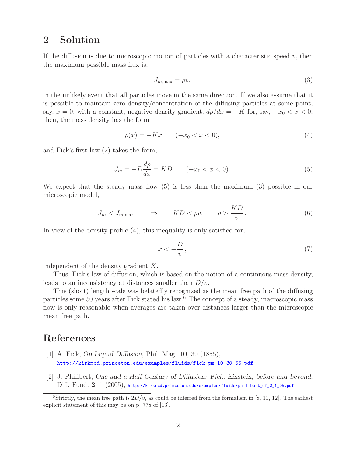## **2 Solution**

If the diffusion is due to microscopic motion of particles with a characteristic speed  $v$ , then the maximum possible mass flux is,

$$
J_{m,\max} = \rho v,\tag{3}
$$

in the unlikely event that all particles move in the same direction. If we also assume that it is possible to maintain zero density/concentration of the diffusing particles at some point, say,  $x = 0$ , with a constant, negative density gradient,  $d\rho/dx = -K$  for, say,  $-x_0 < x < 0$ , then, the mass density has the form

$$
\rho(x) = -Kx \qquad (-x_0 < x < 0),\tag{4}
$$

and Fick's first law (2) takes the form,

$$
J_m = -D\frac{d\rho}{dx} = KD \qquad (-x_0 < x < 0). \tag{5}
$$

We expect that the steady mass flow (5) is less than the maximum (3) possible in our microscopic model,

$$
J_m < J_{m,\text{max}}, \qquad \Rightarrow \qquad KD < \rho v, \qquad \rho > \frac{KD}{v} \,. \tag{6}
$$

In view of the density profile (4), this inequality is only satisfied for,

$$
x < -\frac{D}{v},\tag{7}
$$

independent of the density gradient K.

Thus, Fick's law of diffusion, which is based on the notion of a continuous mass density, leads to an inconsistency at distances smaller than  $D/v$ .

This (short) length scale was belatedly recognized as the mean free path of the diffusing particles some 50 years after Fick stated his law.<sup>6</sup> The concept of a steady, macroscopic mass flow is only reasonable when averages are taken over distances larger than the microscopic mean free path.

## **References**

- [1] A. Fick, *On Liquid Diffusion*, Phil. Mag. **10**, 30 (1855), http://kirkmcd.princeton.edu/examples/fluids/fick\_pm\_10\_30\_55.pdf
- [2] J. Philibert, *One and a Half Century of Diffusion: Fick, Einstein, before and beyond*, Diff. Fund. **2**, 1 (2005), http://kirkmcd.princeton.edu/examples/fluids/philibert\_df\_2\_1\_05.pdf

<sup>&</sup>lt;sup>6</sup>Strictly, the mean free path is  $2D/v$ , as could be inferred from the formalism in [8, 11, 12]. The earliest explicit statement of this may be on p. 778 of [13].